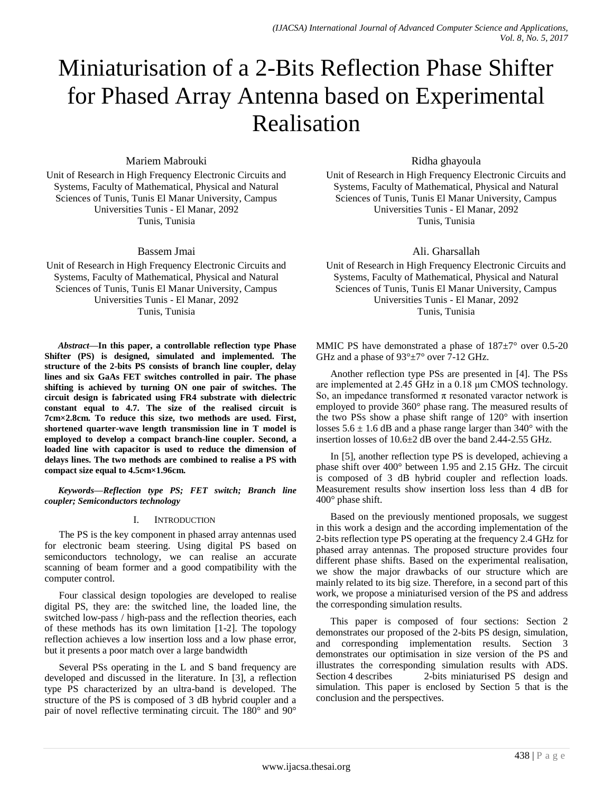# Miniaturisation of a 2-Bits Reflection Phase Shifter for Phased Array Antenna based on Experimental Realisation

Mariem Mabrouki

Unit of Research in High Frequency Electronic Circuits and Systems, Faculty of Mathematical, Physical and Natural Sciences of Tunis, Tunis El Manar University, Campus Universities Tunis - El Manar, 2092 Tunis, Tunisia

Bassem Jmai

Unit of Research in High Frequency Electronic Circuits and Systems, Faculty of Mathematical, Physical and Natural Sciences of Tunis, Tunis El Manar University, Campus Universities Tunis - El Manar, 2092 Tunis, Tunisia

*Abstract***—In this paper, a controllable reflection type Phase Shifter (PS) is designed, simulated and implemented. The structure of the 2-bits PS consists of branch line coupler, delay lines and six GaAs FET switches controlled in pair. The phase shifting is achieved by turning ON one pair of switches. The circuit design is fabricated using FR4 substrate with dielectric constant equal to 4.7. The size of the realised circuit is 7cm×2.8cm. To reduce this size, two methods are used. First, shortened quarter-wave length transmission line in T model is employed to develop a compact branch-line coupler. Second, a loaded line with capacitor is used to reduce the dimension of delays lines. The two methods are combined to realise a PS with compact size equal to 4.5cm×1.96cm.**

*Keywords—Reflection type PS; FET switch; Branch line coupler; Semiconductors technology*

### I. INTRODUCTION

The PS is the key component in phased array antennas used for electronic beam steering. Using digital PS based on semiconductors technology, we can realise an accurate scanning of beam former and a good compatibility with the computer control.

Four classical design topologies are developed to realise digital PS, they are: the switched line, the loaded line, the switched low-pass / high-pass and the reflection theories, each of these methods has its own limitation [1-2]. The topology reflection achieves a low insertion loss and a low phase error, but it presents a poor match over a large bandwidth

Several PSs operating in the L and S band frequency are developed and discussed in the literature. In [3], a reflection type PS characterized by an ultra-band is developed. The structure of the PS is composed of 3 dB hybrid coupler and a pair of novel reflective terminating circuit. The 180° and 90° Ridha ghayoula

Unit of Research in High Frequency Electronic Circuits and Systems, Faculty of Mathematical, Physical and Natural Sciences of Tunis, Tunis El Manar University, Campus Universities Tunis - El Manar, 2092 Tunis, Tunisia

Ali. Gharsallah

Unit of Research in High Frequency Electronic Circuits and Systems, Faculty of Mathematical, Physical and Natural Sciences of Tunis, Tunis El Manar University, Campus Universities Tunis - El Manar, 2092 Tunis, Tunisia

MMIC PS have demonstrated a phase of  $187\pm7$ ° over 0.5-20 GHz and a phase of 93°±7° over 7-12 GHz.

Another reflection type PSs are presented in [4]. The PSs are implemented at 2.45 GHz in a 0.18 μm CMOS technology. So, an impedance transformed  $\pi$  resonated varactor network is employed to provide 360° phase rang. The measured results of the two PSs show a phase shift range of 120° with insertion losses  $5.6 \pm 1.6$  dB and a phase range larger than  $340^{\circ}$  with the insertion losses of 10.6±2 dB over the band 2.44-2.55 GHz.

In [5], another reflection type PS is developed, achieving a phase shift over 400° between 1.95 and 2.15 GHz. The circuit is composed of 3 dB hybrid coupler and reflection loads. Measurement results show insertion loss less than 4 dB for 400° phase shift.

Based on the previously mentioned proposals, we suggest in this work a design and the according implementation of the 2-bits reflection type PS operating at the frequency 2.4 GHz for phased array antennas. The proposed structure provides four different phase shifts. Based on the experimental realisation, we show the major drawbacks of our structure which are mainly related to its big size. Therefore, in a second part of this work, we propose a miniaturised version of the PS and address the corresponding simulation results.

This paper is composed of four sections: Section 2 demonstrates our proposed of the 2-bits PS design, simulation, and corresponding implementation results. Section 3 demonstrates our optimisation in size version of the PS and illustrates the corresponding simulation results with ADS. Section 4 describes 2-bits miniaturised PS design and simulation. This paper is enclosed by Section 5 that is the conclusion and the perspectives.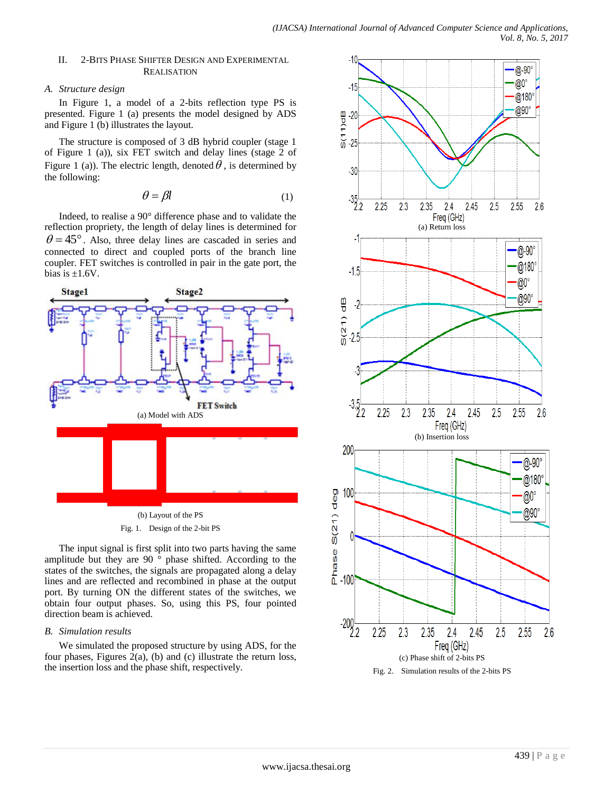#### II. 2-BITS PHASE SHIFTER DESIGN AND EXPERIMENTAL **REALISATION**

#### *A. Structure design*

In Figure 1, a model of a 2-bits reflection type PS is presented. Figure 1 (a) presents the model designed by ADS and Figure 1 (b) illustrates the layout.

The structure is composed of 3 dB hybrid coupler (stage 1 of Figure 1 (a)), six FET switch and delay lines (stage 2 of Figure 1 (a)). The electric length, denoted  $\theta$ , is determined by the following:

$$
\theta = \beta l \tag{1}
$$

Indeed, to realise a 90° difference phase and to validate the reflection propriety, the length of delay lines is determined for  $\theta = 45^{\circ}$ . Also, three delay lines are cascaded in series and connected to direct and coupled ports of the branch line coupler. FET switches is controlled in pair in the gate port, the bias is  $\pm 1.6V$ .



The input signal is first split into two parts having the same amplitude but they are 90 $\frac{1}{\circ}$  phase shifted. According to the states of the switches, the signals are propagated along a delay lines and are reflected and recombined in phase at the output port. By turning ON the different states of the switches, we obtain four output phases. So, using this PS, four pointed direction beam is achieved.

### *B. Simulation results*

We simulated the proposed structure by using ADS, for the four phases, Figures  $2(a)$ , (b) and (c) illustrate the return loss, the insertion loss and the phase shift, respectively.

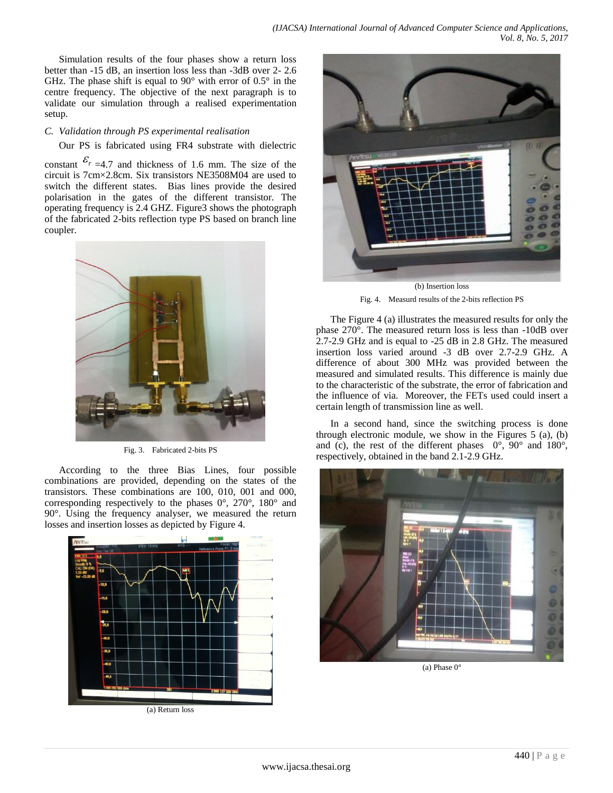Simulation results of the four phases show a return loss better than -15 dB, an insertion loss less than -3dB over 2- 2.6 GHz. The phase shift is equal to  $90^{\circ}$  with error of  $0.5^{\circ}$  in the centre frequency. The objective of the next paragraph is to validate our simulation through a realised experimentation setup.

### *C. Validation through PS experimental realisation*

Our PS is fabricated using FR4 substrate with dielectric

constant  $\mathcal{E}_{r=4.7}$  and thickness of 1.6 mm. The size of the circuit is 7cm×2.8cm. Six transistors NE3508M04 are used to switch the different states. Bias lines provide the desired polarisation in the gates of the different transistor. The operating frequency is 2.4 GHZ. Figure3 shows the photograph of the fabricated 2-bits reflection type PS based on branch line coupler.



Fig. 3. Fabricated 2-bits PS

According to the three Bias Lines, four possible combinations are provided, depending on the states of the transistors. These combinations are 100, 010, 001 and 000, corresponding respectively to the phases 0°, 270°, 180° and 90°. Using the frequency analyser, we measured the return losses and insertion losses as depicted by Figure 4.





Fig. 4. Measurd results of the 2-bits reflection PS

The Figure 4 (a) illustrates the measured results for only the phase 270°. The measured return loss is less than -10dB over 2.7-2.9 GHz and is equal to -25 dB in 2.8 GHz. The measured insertion loss varied around -3 dB over 2.7-2.9 GHz. A difference of about 300 MHz was provided between the measured and simulated results. This difference is mainly due to the characteristic of the substrate, the error of fabrication and the influence of via. Moreover, the FETs used could insert a certain length of transmission line as well.

In a second hand, since the switching process is done through electronic module, we show in the Figures 5 (a), (b) and (c), the rest of the different phases 0°, 90° and 180°, respectively, obtained in the band 2.1-2.9 GHz.

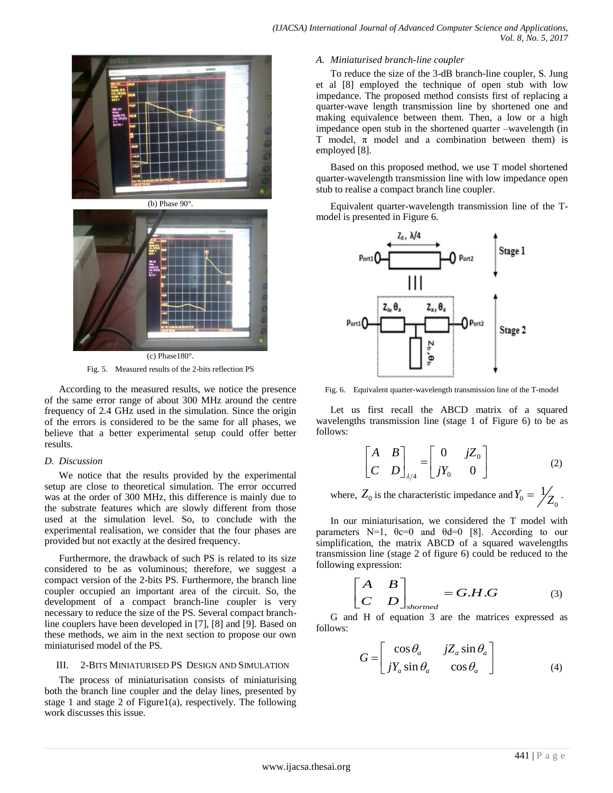

Fig. 5. Measured results of the 2-bits reflection PS

According to the measured results, we notice the presence of the same error range of about 300 MHz around the centre frequency of 2.4 GHz used in the simulation. Since the origin of the errors is considered to be the same for all phases, we believe that a better experimental setup could offer better results.

### *D. Discussion*

We notice that the results provided by the experimental setup are close to theoretical simulation. The error occurred was at the order of 300 MHz, this difference is mainly due to the substrate features which are slowly different from those used at the simulation level. So, to conclude with the experimental realisation, we consider that the four phases are provided but not exactly at the desired frequency.

Furthermore, the drawback of such PS is related to its size considered to be as voluminous; therefore, we suggest a compact version of the 2-bits PS. Furthermore, the branch line coupler occupied an important area of the circuit. So, the development of a compact branch-line coupler is very necessary to reduce the size of the PS. Several compact branchline couplers have been developed in [7], [8] and [9]. Based on these methods, we aim in the next section to propose our own miniaturised model of the PS.

### III. 2-BITS MINIATURISED PS DESIGN AND SIMULATION

The process of miniaturisation consists of miniaturising both the branch line coupler and the delay lines, presented by stage 1 and stage 2 of Figure1(a), respectively. The following work discusses this issue.

### *A. Miniaturised branch-line coupler*

To reduce the size of the 3-dB branch-line coupler, S. Jung et al [8] employed the technique of open stub with low impedance. The proposed method consists first of replacing a quarter-wave length transmission line by shortened one and making equivalence between them. Then, a low or a high impedance open stub in the shortened quarter –wavelength (in T model,  $\pi$  model and a combination between them) is employed [8].

Based on this proposed method, we use T model shortened quarter-wavelength transmission line with low impedance open stub to realise a compact branch line coupler.

Equivalent quarter-wavelength transmission line of the Tmodel is presented in Figure 6.



Fig. 6. Equivalent quarter-wavelength transmission line of the T-model

Let us first recall the ABCD matrix of a squared wavelengths transmission line (stage 1 of Figure 6) to be as follows:

$$
\begin{bmatrix} A & B \\ C & D \end{bmatrix}_{\lambda/4} = \begin{bmatrix} 0 & jZ_0 \\ jY_0 & 0 \end{bmatrix}
$$
 (2)

where,  $Z_0$  is the characteristic impedance and  $Y_0 = \frac{1}{Z_0}$  $Y_0 = \frac{1}{Z_0}$ .

In our miniaturisation, we considered the T model with parameters N=1,  $\theta c=0$  and  $\theta d=0$  [8]. According to our simplification, the matrix ABCD of a squared wavelengths transmission line (stage 2 of figure 6) could be reduced to the following expression:

$$
\begin{bmatrix} A & B \\ C & D \end{bmatrix}_{shorted} = G.H.G \tag{3}
$$

G and H of equation 3 are the matrices expressed as follows:

$$
G = \begin{bmatrix} \cos \theta_a & jZ_a \sin \theta_a \\ jY_a \sin \theta_a & \cos \theta_a \end{bmatrix}
$$
 (4)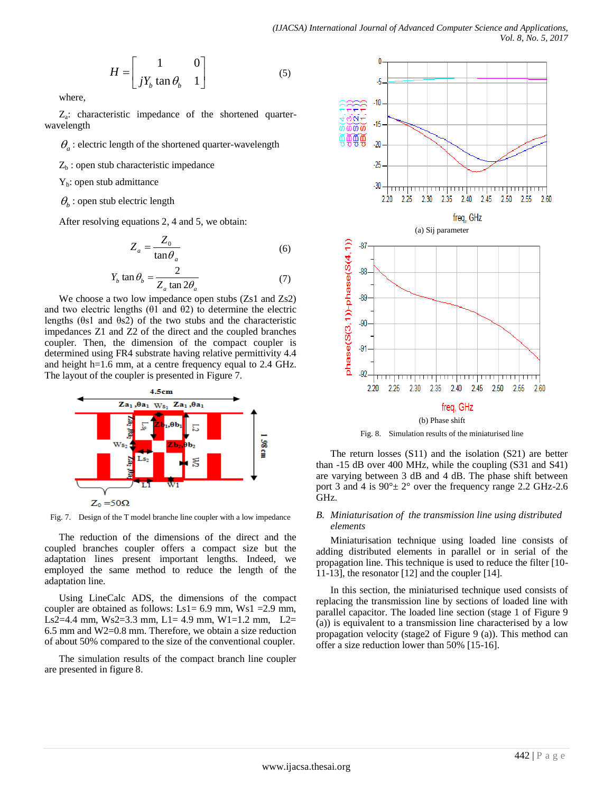$$
H = \begin{bmatrix} 1 & 0 \\ jY_b \tan \theta_b & 1 \end{bmatrix}
$$
 (5)

where,

Za : characteristic impedance of the shortened quarterwavelength

 $\theta_a$ : electric length of the shortened quarter-wavelength

 $Z<sub>b</sub>$ : open stub characteristic impedance

 $Y_b$ : open stub admittance

 $\theta_b$  : open stub electric length

After resolving equations 2, 4 and 5, we obtain:

$$
Z_a = \frac{Z_0}{\tan \theta_a} \tag{6}
$$

$$
Y_b \tan \theta_b = \frac{2}{Z_a \tan 2\theta_a} \tag{7}
$$

We choose a two low impedance open stubs (Zs1 and Zs2) and two electric lengths  $(θ1$  and  $θ2)$  to determine the electric lengths (θs1 and θs2) of the two stubs and the characteristic impedances Z1 and Z2 of the direct and the coupled branches coupler. Then, the dimension of the compact coupler is determined using FR4 substrate having relative permittivity 4.4 and height h=1.6 mm, at a centre frequency equal to 2.4 GHz. The layout of the coupler is presented in Figure 7.



Fig. 7. Design of the T model branche line coupler with a low impedance

The reduction of the dimensions of the direct and the coupled branches coupler offers a compact size but the adaptation lines present important lengths. Indeed, we employed the same method to reduce the length of the adaptation line.

Using LineCalc ADS, the dimensions of the compact coupler are obtained as follows: Ls1=  $6.9$  mm, Ws1 =  $2.9$  mm, Ls2=4.4 mm, Ws2=3.3 mm, L1= 4.9 mm, W1=1.2 mm, L2= 6.5 mm and W2=0.8 mm. Therefore, we obtain a size reduction of about 50% compared to the size of the conventional coupler.

The simulation results of the compact branch line coupler are presented in figure 8.



Fig. 8. Simulation results of the miniaturised line

The return losses (S11) and the isolation (S21) are better than -15 dB over 400 MHz, while the coupling (S31 and S41) are varying between 3 dB and 4 dB. The phase shift between port 3 and 4 is  $90^{\circ}$  ± 2° over the frequency range 2.2 GHz-2.6 GHz.

### *B. Miniaturisation of the transmission line using distributed elements*

Miniaturisation technique using loaded line consists of adding distributed elements in parallel or in serial of the propagation line. This technique is used to reduce the filter [10- 11-13], the resonator [12] and the coupler [14].

In this section, the miniaturised technique used consists of replacing the transmission line by sections of loaded line with parallel capacitor. The loaded line section (stage 1 of Figure 9 (a)) is equivalent to a transmission line characterised by a low propagation velocity (stage2 of Figure 9 (a)). This method can offer a size reduction lower than 50% [15-16].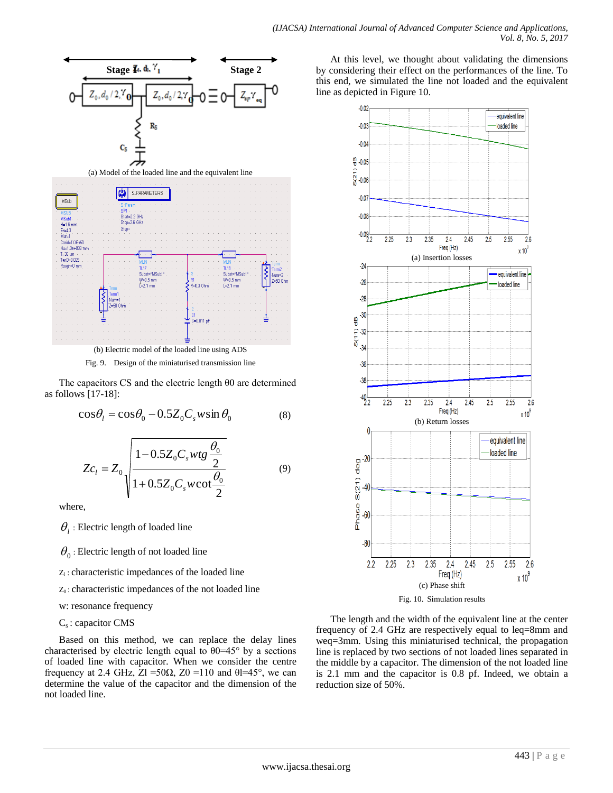

Fig. 9. Design of the miniaturised transmission line

The capacitors CS and the electric length θ0 are determined as follows [17-18]:

$$
\cos\theta_l = \cos\theta_0 - 0.5Z_0C_s w \sin\theta_0 \tag{8}
$$

$$
Zc_{l} = Z_{0} \sqrt{\frac{1 - 0.5Z_{0}C_{s}wtg\frac{\theta_{0}}{2}}{1 + 0.5Z_{0}C_{s}w\cot\frac{\theta_{0}}{2}}}
$$
(9)

where,

 $\theta$ <sub>l</sub> : Electric length of loaded line

 $\theta_{_0}$  : Electric length of not loaded line

 $Z_1$ : characteristic impedances of the loaded line

 $Z_0$ : characteristic impedances of the not loaded line

w: resonance frequency

## $C_s$ : capacitor CMS

Based on this method, we can replace the delay lines characterised by electric length equal to  $\theta$ 0=45° by a sections of loaded line with capacitor. When we consider the centre frequency at 2.4 GHz,  $\overline{Z}$ l =50 $\Omega$ ,  $\overline{Z}$ 0 =110 and  $\theta$ l=45°, we can determine the value of the capacitor and the dimension of the not loaded line.

At this level, we thought about validating the dimensions by considering their effect on the performances of the line. To this end, we simulated the line not loaded and the equivalent line as depicted in Figure 10.



Fig. 10. Simulation results

The length and the width of the equivalent line at the center frequency of 2.4 GHz are respectively equal to leq=8mm and weq=3mm. Using this miniaturised technical, the propagation line is replaced by two sections of not loaded lines separated in the middle by a capacitor. The dimension of the not loaded line is 2.1 mm and the capacitor is 0.8 pf. Indeed, we obtain a reduction size of 50%.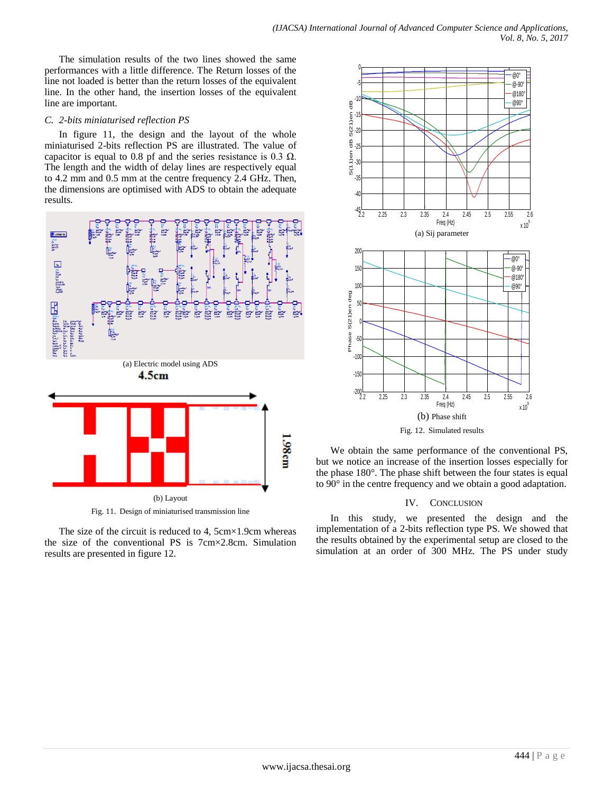The simulation results of the two lines showed the same performances with a little difference. The Return losses of the line not loaded is better than the return losses of the equivalent line. In the other hand, the insertion losses of the equivalent line are important.

### *C. 2-bits miniaturised reflection PS*

In figure 11, the design and the layout of the whole miniaturised 2-bits reflection PS are illustrated. The value of capacitor is equal to 0.8 pf and the series resistance is 0.3  $\Omega$ . The length and the width of delay lines are respectively equal to 4.2 mm and 0.5 mm at the centre frequency 2.4 GHz. Then, the dimensions are optimised with ADS to obtain the adequate results.



Fig. 11. Design of miniaturised transmission line

The size of the circuit is reduced to 4,  $5cm \times 1.9cm$  whereas the size of the conventional PS is 7cm×2.8cm. Simulation results are presented in figure 12.



We obtain the same performance of the conventional PS, but we notice an increase of the insertion losses especially for the phase 180°. The phase shift between the four states is equal to 90° in the centre frequency and we obtain a good adaptation.

### IV. CONCLUSION

In this study, we presented the design and the implementation of a 2-bits reflection type PS. We showed that the results obtained by the experimental setup are closed to the simulation at an order of 300 MHz. The PS under study